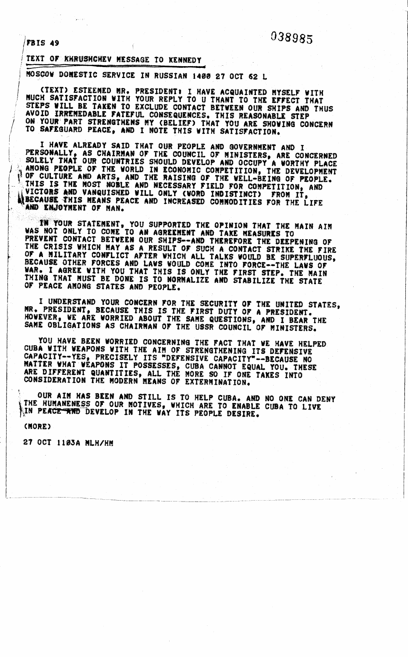FBIS 49

.<br>Na⇒re

## TEXT OF KHRUSHCHEV MESSAGE TO KENNEDY

MOSCOW DOMESTIC SERVICE IN RUSSIAN 1400 27 OCT 62 L

(TEXT) ESTEEMED MR. PRESIDENT: I HAVE ACQUAINTED MYSELF WITH<br>MUCH SATISFACTION WITH YOUR REPLY TO U THANT TO THE EFFECT THAT STEPS WILL BE TAKEN TO EXCLUDE CONTACT BETWEEN OUR SHIPS AND THUS AVOID IRREMEDABLE FATEFUL CONSEQUENCES. THIS REASONABLE STEP ON YOUR PART STRENGTHENS MY (BELIEF) THAT YOU ARE SHOWING CONCERN<br>TO SAFEGUARD PEACE, AND I NOTE THIS WITH SATISFACTION.

I HAVE ALREADY SAID THAT OUR PEOPLE AND GOVERNMENT AND I<br>PERSONALLY, AS CHAIRMAN OF THE COUNCIL OF MINISTERS, ARE CONCERNED<br>SOLELY THAT OUR COUNTRIES SHOULD DEVELOP AND OCCUPY A WORTHY PLACE<br>AMONG PEOPLE OF THE WORLD IN EC OF CULTURE AND ARTS, AND THE RAISING OF THE WELL-BEING OF PEOPLE. THIS IS THE MOST NOBLE AND NECESSARY FIELD FOR COMPETITION, AND VICTORS AND VANQUISHED WILL ONLY (WORD INDISTINCT) FROM IT, AND ENJOYMENT OF MAN.

IN YOUR STATEMENT, YOU SUPPORTED THE OPINION THAT THE MAIN AIM<br>WAS NOT ONLY TO COME TO AN AGREEMENT AND TAKE MEASURES TO<br>PREVENT CONTACT BETWEEN OUR SHIPS--AND THEREFORE THE DEEPENING OF<br>THE CRISIS WHICH MAY AS A RESULT OF OF A MILITARY CONFLICT AFTER WHICH ALL TALKS WOULD BE SUPERFLUOUS, BECAUSE OTHER FORCES AND LAWS WOULD COME INTO FORCE-THE LAWS OF WAR. I AGREE WITH YOU THAT THIS IS ONLY THE FIRST STEP. THE MAIN<br>THING THAT MUST BE DONE IS TO NORMALIZE AND STABILIZE THE STATE OF PEACE ANONG STATES AND PEOPLE.

I UNDERSTAND YOUR CONCERN FOR THE SECURITY OF THE UNITED STATES, MR. PRESIDENT, BECAUSE THIS IS THE FIRST DUTY OF A PRESIDENT. SAME OBLIGATIONS AS CHAIRMAN OF THE USSR COUNCIL OF MINISTERS.

YOU HAVE BEEN WORRIED CONCERNING THE FACT THAT WE HAVE HELPED CUBA WITH WEAPONS WITH THE AIM OF STRENGTHENING ITS DEFENSIVE CAPACITY--YES, PRECISELY ITS "DEFENSIVE CAPACITY"--BECAUSE NO MATTER WHAT WEAPONS IT POSSESSES, CUBA CANNOT EQUAL YOU, THESE<br>ARE DIFFERENT QUANTITIES, ALL THE MORE SO IF ONE TAKES INTO<br>CONSIDERATION THE MODERN MEANS OF EXTERMINATION.

OUR AIM HAS BEEN AND STILL IS TO HELP CUBA. AND NO ONE CAN DENY THE HUMANENESS OF OUR MOTIVES, WHICH ARE TO ENABLE CUBA TO LIVE

(MORE)

27 OCT 1103A MLH/HM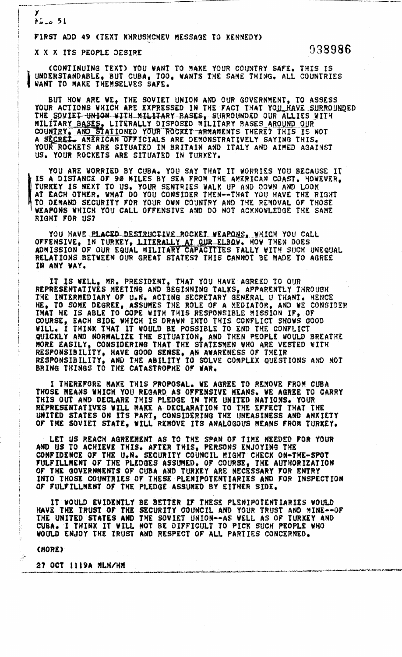75.5 51

FIRST ADD 49 (TEXT KHRUSHCHEV MESSAGE TO KENNEDY)

X X X ITS PEOPLE DESIRE

938986

(CONTINUING TEXT) YOU WANT TO MAKE YOUR COUNTRY SAFE. THIS IS UNDERSTANDABLE, BUT CUBA, TOO, WANTS THE SAME THING. ALL COUNTRIES WANT TO MAKE THEMSELVES SAFE.

BUT HOW ARE WE, THE SOVIET UNION AND OUR GOVERNMENT, TO ASSESS YOUR ACTIONS WHICH ARE EXPRESSED IN THE FACT THAT YOU HAVE SURROUNDED THE SOVIET UNION WITH WILITARY BASES, SURROUNDED OUR ALLIES VITH MILITARY BASES, LITERALLY DISPOSED MILITARY BASES AROUND OUR<br>COUNTRY, AND STATIONED YOUR ROCKET ARMAMENTS THERE? THIS IS NOT<br>A SECRET, AMERICAN OFFICIALS ARE DEMONSTRATIVELY SAYING THIS. YOUR ROCKETS ARE SITUATED IN BRITAIN AND ITALY AND AIMED AGAINST US. YOUR ROCKETS ARE SITUATED IN TURKEY.

YOU ARE WORRIED BY CUBA. YOU SAY THAT IT WORRIES YOU BECAUSE IT<br>IS A DISTANCE OF 90 MILES BY SEA FROM THE AMERICAN COAST. MOWEVER, TURKEY IS NEXT TO US. YOUR SENTRIES WALK UP AND DOWN AND LOOK AT EACH OTHER. WHAT DO YOU CONSIDER THEN--THAT YOU HAVE THE RIGHT TO DEMAND SECURITY FOR YOUR OWN COUNTRY AND THE REMOVAL OF THOSE WEAPONS WHICH YOU CALL OFFENSIVE AND DO NOT ACKNOWLEDGE THE SAME RIGHT FOR US?

YOU HAVE PLACED DESTRUCTIVE ROCKET WEAPONS, WHICH YOU CALL OFFENSIVE, IN TURKEY, LITERALLY AT QUR ELBOW. HOW THEN DOES ADMISSION OF OUR EQUAL MILITARY CAPACITIES TALLY WITH SUCH UNEQUAL RELATIONS BETWEEN OUR GREAT STATES? THIS CANNOT BE MADE TO AGREE IN ANY WAY.

IT IS WELL, MR. PRESIDENT, THAT YOU HAVE AGREED TO OUR<br>REPRESENTATIVES MEETING AND BEGINNING TALKS, APPARENTLY THROUGH<br>THE INTERMEDIARY OF U.N. ACTING SECRETARY GENERAL U THANT. HENCE<br>HE, TO SOME DEGREE, ASSUMES THE ROLE O COURSE, EACH SIDE WHICH IS DRAWN INTO THIS CONFLICT SHOWS GOOD<br>WILL. I THINK THAT IT WOULD BE POSSIBLE TO END THE CONFLICT<br>QUICKLY AND NORMALIZE THE SITUATION, AND THEN PEOPLE WOULD BREATHE<br>MORE EASILY, CONSIDERING THAT TH RESPONSIBILITY, HAVE GOOD SENSE, AN AWARENESS OF THEIR<br>RESPONSIBILITY, AND THE ABILITY TO SOLVE COMPLEX QUESTIONS AND NOT<br>BRING THINGS TO THE CATASTROPHE OF WAR.

I THEREFORE MAKE THIS PROPOSAL. WE AGREE TO REMOVE FROM CUBA<br>THOSE MEANS WHICH YOU REGARD AS OFFENSIVE MEANS. WE AGREE TO CARRY THIS OUT AND DECLARE THIS PLEDGE IN THE UNITED NATIONS. YOUR<br>REPRESENTATIVES WILL MAKE A DECLARATION TO THE EFFECT THAT THE<br>UNITED STATES ON ITS PART, CONSIDERING THE UNEASINESS AND ANXIETY<br>OF THE SOVIET STATE, WILL REMOVE

LET US REACH AGREEMENT AS TO THE SPAN OF TIME NEEDED FOR YOUR<br>AND US TO ACHIEVE THIS. AFTER THIS, PERSONS ENJOYING THE<br>CONFIDENCE OF THE U.N. SECURITY COUNCIL MIGHT CHECK ON-THE-SPOT<br>FULFILLMENT OF THE PLEDGES ASSUMED. OF OF THE GOVERNMENTS OF CUBA AND TURKEY ARE NECESSARY FOR ENTRY INTO THOSE COUNTRIES OF THESE PLENIPOTENTIARIES AND FOR INSPECTION OF FULFILLMENT OF THE PLEDGE ASSUMED BY EITHER SIDE.

IT WOULD EVIDENTLY BE BETTER IF THESE PLENIPOTENTIARIES WOULD HAVE THE TRUST OF THE SECURITY COUNCIL AND YOUR TRUST AND MINE -- OF THE UNITED STATES AND THE SOVIET UNION--AS WELL AS OF TURKEY AND<br>CUBA. I THINK IT WILL NOT BE DIFFICULT TO PICK SUCH PEOPLE WHO<br>WOULD ENJOY THE TRUST AND RESPECT OF ALL PARTIES CONCERNED.

(MORE)

27 OCT 1119A MLH/HM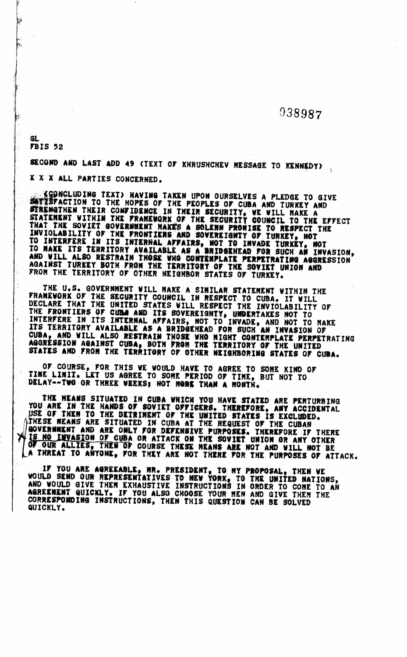## 938987

61 **FBIS 52** 

SECOND AND LAST ADD 49 (TEXT OF KHRUSHCHEV MESSAGE TO KENNEDY) X X X ALL PARTIES CONCERNED.

**(CONCLUDING TEXT) HAVING TAKEN UPON OURSELVES A PLEDGE TO GIVE** SATISFACTION TO THE HOPES OF THE PEOPLES OF CUBA AND TURKEY AND STRENGTHEN THEIR CONFIDENCE IN THEIR SECURITY, WE WILL MAKE A<br>STATEMENT WITHIN THE FRAMEWORK OF THE SECURITY COUNCIL TO THE EFFECT<br>THAT THE SOVIET GOVERNMENT MAKES A SOLEMN PROMISE TO RESPECT THE<br>INVIOLABILITY OF THE FRONT TO INTERFERE IN ITS INTERNAL AFFAIRS, NOT TO INVADE TURKEY, NOT<br>TO MAKE ITS TERRITORY AVAILABLE AS A BRIDGENEAD FOR SUCH AN INVASION,<br>AND WILL ALSO RESTRAIN THOSE WHO CONTENPLATE PERPETRATING AGGRESSION<br>AGAINST TURKEY BOTH FROM THE TERRITORY OF OTHER NEIGHBOR STATES OF TURKEY.

THE U.S. GOVERNMENT WILL MAKE A SIMILAR STATEMENT WITHIN THE<br>FRAMEWORK OF THE SECURITY COUNCIL IN RESPECT TO CUBA. IT WILL<br>DECLARE THAT THE UNITED STATES WILL RESPECT THE INVIOLABILITY OF THE FRONTIERS OF CUBA AND ITS SOVEREIGNTY, UNDERTAKES NOT TO<br>INTERFERE IN ITS INTERNAL AFFAIRS, NOT TO INVADE, AND NOT TO MAKE ITS TERRITORY AVAILABLE AS A BRIDGENEAD FOR SUCH AN INVASION OF CUBA, AND WILL ALSO RESTRAIN THOSE WHO MIGHT CONTEMPLATE PERPETRAING<br>AGGRESSION AGAINST CUBA, BOTH FROM THE TERRITORY OF THE UNITED<br>STATES AND FROM THE TERRIT

OF COURSE, FOR THIS WE WOULD HAVE TO AGREE TO SOME KIND OF TIME LIMIT. LET US AGREE TO SOME PERIOD OF TIME, BUT NOT TO DELAY--TWO OR THREE WEEKS; NOT MORE THAN A MONTH.

THE MEANS SITUATED IN CUBA WHICH YOU HAVE STATED ARE PERTURBING<br>YOU ARE IN THE HANDS OF SOVIET OFFICERS. THEREFORE, ANY ACCIDENTAL USE OF THEM TO THE DETRIMENT OF THE UNITED STATES IS EXCLUDED.<br>THESE HEANS ARE SITUATED IN CUBA AT THE REQUEST OF THE CUBAN GOVERNMENT AND ARE ONLY FOR DEFENSIVE PURPOSES. THEREFORE IF THERE IS NO INVASION OF CUBA OR ATTACK ON THE SOVIET UNION OR ANY OTHER OF OUR ALLIES, THEN OF COURSE THESE MEANS ARE NOT AND WILL NOT BE A THREAT TO ANYONE, FOR THEY ARE NOT THERE FOR THE PURPOSES OF ATTACK.

IF YOU ARE AGREEABLE, MR. PRESIDENT, TO MY PROPOSAL, THEN WE<br>WOULD SEND OUR REPRESENTATIVES TO NEW YORK, TO THE UNITED NATIONS,<br>AND WOULD GIVE THEN EXHAUSTIVE INSTRUCTIONS IN ORDER TO COME TO AN<br>AGREEMENT QUICKLY. IF YOU A CORRESPONDING INSTRUCTIONS, THEN THIS QUESTION CAN BE SOLVED QUICKLY.